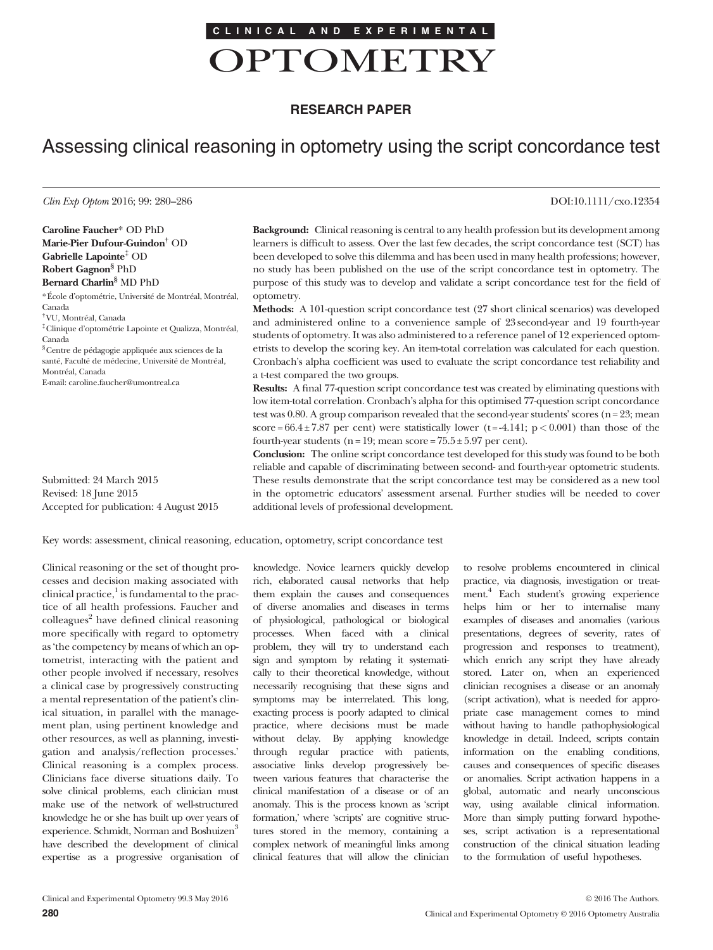# **CLINICAL AND EXPERIMENTAL OPTOMETRY**

### RESEARCH PAPER

## Assessing clinical reasoning in optometry using the script concordance test

Clin Exp Optom 2016; 99: 280–286 DOI:10.1111/cxo.12354

Caroline Faucher\* OD PhD Marie-Pier Dufour-Guindon† OD Gabrielle Lapointe‡ OD Robert Gagnon§ PhD Bernard Charlin§ MD PhD

\*École d'optométrie, Université de Montréal, Montréal, Canada

† VU, Montréal, Canada

‡ Clinique d'optométrie Lapointe et Qualizza, Montréal, Canada

§ Centre de pédagogie appliquée aux sciences de la santé, Faculté de médecine, Université de Montréal, Montréal, Canada

E-mail: caroline.faucher@umontreal.ca

Submitted: 24 March 2015 Revised: 18 June 2015 Accepted for publication: 4 August 2015

Background: Clinical reasoning is central to any health profession but its development among learners is difficult to assess. Over the last few decades, the script concordance test (SCT) has been developed to solve this dilemma and has been used in many health professions; however, no study has been published on the use of the script concordance test in optometry. The purpose of this study was to develop and validate a script concordance test for the field of optometry.

Methods: A 101-question script concordance test (27 short clinical scenarios) was developed and administered online to a convenience sample of 23 second-year and 19 fourth-year students of optometry. It was also administered to a reference panel of 12 experienced optometrists to develop the scoring key. An item-total correlation was calculated for each question. Cronbach's alpha coefficient was used to evaluate the script concordance test reliability and a t-test compared the two groups.

Results: A final 77-question script concordance test was created by eliminating questions with low item-total correlation. Cronbach's alpha for this optimised 77-question script concordance test was 0.80. A group comparison revealed that the second-year students' scores ( $n = 23$ ; mean score =  $66.4 \pm 7.87$  per cent) were statistically lower (t=-4.141; p < 0.001) than those of the fourth-year students (n = 19; mean score =  $75.5 \pm 5.97$  per cent).

Conclusion: The online script concordance test developed for this study was found to be both reliable and capable of discriminating between second- and fourth-year optometric students. These results demonstrate that the script concordance test may be considered as a new tool in the optometric educators' assessment arsenal. Further studies will be needed to cover additional levels of professional development.

Key words: assessment, clinical reasoning, education, optometry, script concordance test

Clinical reasoning or the set of thought processes and decision making associated with  $clinical practice, <sup>1</sup>$  is fundamental to the practice of all health professions. Faucher and colleagues<sup>2</sup> have defined clinical reasoning more specifically with regard to optometry as 'the competency by means of which an optometrist, interacting with the patient and other people involved if necessary, resolves a clinical case by progressively constructing a mental representation of the patient's clinical situation, in parallel with the management plan, using pertinent knowledge and other resources, as well as planning, investigation and analysis/reflection processes.' Clinical reasoning is a complex process. Clinicians face diverse situations daily. To solve clinical problems, each clinician must make use of the network of well-structured knowledge he or she has built up over years of experience. Schmidt, Norman and Boshuizen<sup>3</sup> have described the development of clinical expertise as a progressive organisation of

knowledge. Novice learners quickly develop rich, elaborated causal networks that help them explain the causes and consequences of diverse anomalies and diseases in terms of physiological, pathological or biological processes. When faced with a clinical problem, they will try to understand each sign and symptom by relating it systematically to their theoretical knowledge, without necessarily recognising that these signs and symptoms may be interrelated. This long, exacting process is poorly adapted to clinical practice, where decisions must be made without delay. By applying knowledge through regular practice with patients, associative links develop progressively between various features that characterise the clinical manifestation of a disease or of an anomaly. This is the process known as 'script formation,' where 'scripts' are cognitive structures stored in the memory, containing a complex network of meaningful links among clinical features that will allow the clinician

to resolve problems encountered in clinical practice, via diagnosis, investigation or treatment.4 Each student's growing experience helps him or her to internalise many examples of diseases and anomalies (various presentations, degrees of severity, rates of progression and responses to treatment), which enrich any script they have already stored. Later on, when an experienced clinician recognises a disease or an anomaly (script activation), what is needed for appropriate case management comes to mind without having to handle pathophysiological knowledge in detail. Indeed, scripts contain information on the enabling conditions, causes and consequences of specific diseases or anomalies. Script activation happens in a global, automatic and nearly unconscious way, using available clinical information. More than simply putting forward hypotheses, script activation is a representational construction of the clinical situation leading to the formulation of useful hypotheses.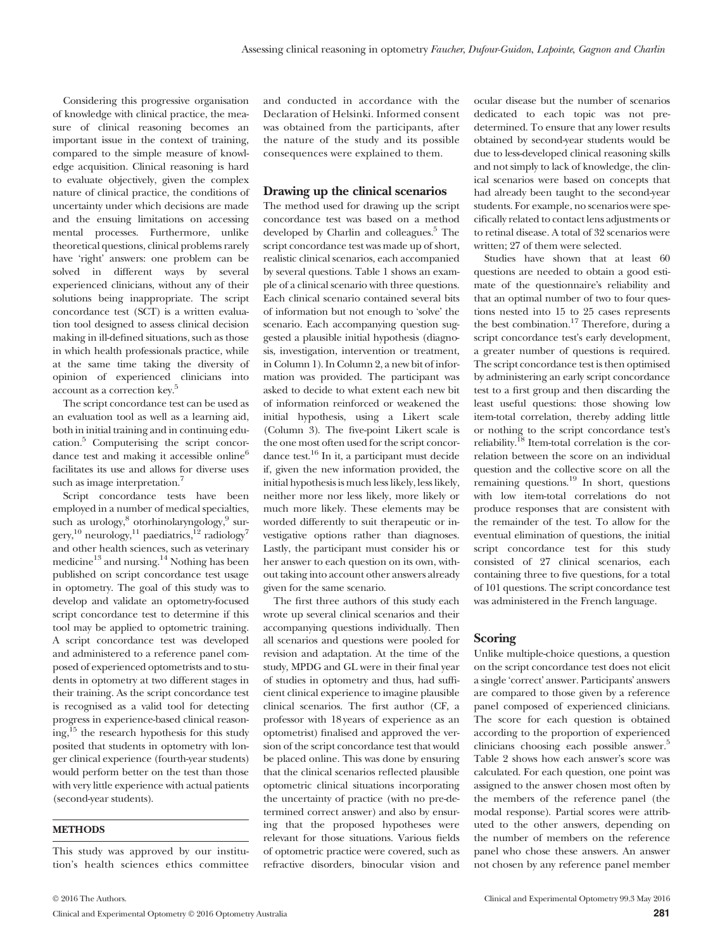Considering this progressive organisation of knowledge with clinical practice, the measure of clinical reasoning becomes an important issue in the context of training, compared to the simple measure of knowledge acquisition. Clinical reasoning is hard to evaluate objectively, given the complex nature of clinical practice, the conditions of uncertainty under which decisions are made and the ensuing limitations on accessing mental processes. Furthermore, unlike theoretical questions, clinical problems rarely have 'right' answers: one problem can be solved in different ways by several experienced clinicians, without any of their solutions being inappropriate. The script concordance test (SCT) is a written evaluation tool designed to assess clinical decision making in ill-defined situations, such as those in which health professionals practice, while at the same time taking the diversity of opinion of experienced clinicians into account as a correction key.5

The script concordance test can be used as an evaluation tool as well as a learning aid, both in initial training and in continuing education.5 Computerising the script concordance test and making it accessible online<sup>6</sup> facilitates its use and allows for diverse uses such as image interpretation.<sup>7</sup>

Script concordance tests have been employed in a number of medical specialties, such as urology, $8$  otorhinolaryngology, $9$  surgery,<sup>10</sup> neurology,<sup>11</sup> paediatrics,<sup>12</sup> radiology<sup>7</sup> and other health sciences, such as veterinary medicine<sup>13</sup> and nursing.<sup>14</sup> Nothing has been published on script concordance test usage in optometry. The goal of this study was to develop and validate an optometry-focused script concordance test to determine if this tool may be applied to optometric training. A script concordance test was developed and administered to a reference panel composed of experienced optometrists and to students in optometry at two different stages in their training. As the script concordance test is recognised as a valid tool for detecting progress in experience-based clinical reasoning,15 the research hypothesis for this study posited that students in optometry with longer clinical experience (fourth-year students) would perform better on the test than those with very little experience with actual patients (second-year students).

#### METHODS

This study was approved by our institution's health sciences ethics committee and conducted in accordance with the Declaration of Helsinki. Informed consent was obtained from the participants, after the nature of the study and its possible consequences were explained to them.

#### Drawing up the clinical scenarios

The method used for drawing up the script concordance test was based on a method developed by Charlin and colleagues.<sup>5</sup> The script concordance test was made up of short, realistic clinical scenarios, each accompanied by several questions. Table 1 shows an example of a clinical scenario with three questions. Each clinical scenario contained several bits of information but not enough to 'solve' the scenario. Each accompanying question suggested a plausible initial hypothesis (diagnosis, investigation, intervention or treatment, in Column 1). In Column 2, a new bit of information was provided. The participant was asked to decide to what extent each new bit of information reinforced or weakened the initial hypothesis, using a Likert scale (Column 3). The five-point Likert scale is the one most often used for the script concordance test.<sup>16</sup> In it, a participant must decide if, given the new information provided, the initial hypothesis is much less likely, less likely, neither more nor less likely, more likely or much more likely. These elements may be worded differently to suit therapeutic or investigative options rather than diagnoses. Lastly, the participant must consider his or her answer to each question on its own, without taking into account other answers already given for the same scenario.

The first three authors of this study each wrote up several clinical scenarios and their accompanying questions individually. Then all scenarios and questions were pooled for revision and adaptation. At the time of the study, MPDG and GL were in their final year of studies in optometry and thus, had sufficient clinical experience to imagine plausible clinical scenarios. The first author (CF, a professor with 18 years of experience as an optometrist) finalised and approved the version of the script concordance test that would be placed online. This was done by ensuring that the clinical scenarios reflected plausible optometric clinical situations incorporating the uncertainty of practice (with no pre-determined correct answer) and also by ensuring that the proposed hypotheses were relevant for those situations. Various fields of optometric practice were covered, such as refractive disorders, binocular vision and

ocular disease but the number of scenarios dedicated to each topic was not predetermined. To ensure that any lower results obtained by second-year students would be due to less-developed clinical reasoning skills and not simply to lack of knowledge, the clinical scenarios were based on concepts that had already been taught to the second-year students. For example, no scenarios were specifically related to contact lens adjustments or to retinal disease. A total of 32 scenarios were written; 27 of them were selected.

Studies have shown that at least 60 questions are needed to obtain a good estimate of the questionnaire's reliability and that an optimal number of two to four questions nested into 15 to 25 cases represents the best combination.<sup>17</sup> Therefore, during a script concordance test's early development, a greater number of questions is required. The script concordance test is then optimised by administering an early script concordance test to a first group and then discarding the least useful questions: those showing low item-total correlation, thereby adding little or nothing to the script concordance test's reliability.18 Item-total correlation is the correlation between the score on an individual question and the collective score on all the remaining questions.19 In short, questions with low item-total correlations do not produce responses that are consistent with the remainder of the test. To allow for the eventual elimination of questions, the initial script concordance test for this study consisted of 27 clinical scenarios, each containing three to five questions, for a total of 101 questions. The script concordance test was administered in the French language.

#### Scoring

Unlike multiple-choice questions, a question on the script concordance test does not elicit a single 'correct' answer. Participants' answers are compared to those given by a reference panel composed of experienced clinicians. The score for each question is obtained according to the proportion of experienced clinicians choosing each possible answer.<sup>5</sup> Table 2 shows how each answer's score was calculated. For each question, one point was assigned to the answer chosen most often by the members of the reference panel (the modal response). Partial scores were attributed to the other answers, depending on the number of members on the reference panel who chose these answers. An answer not chosen by any reference panel member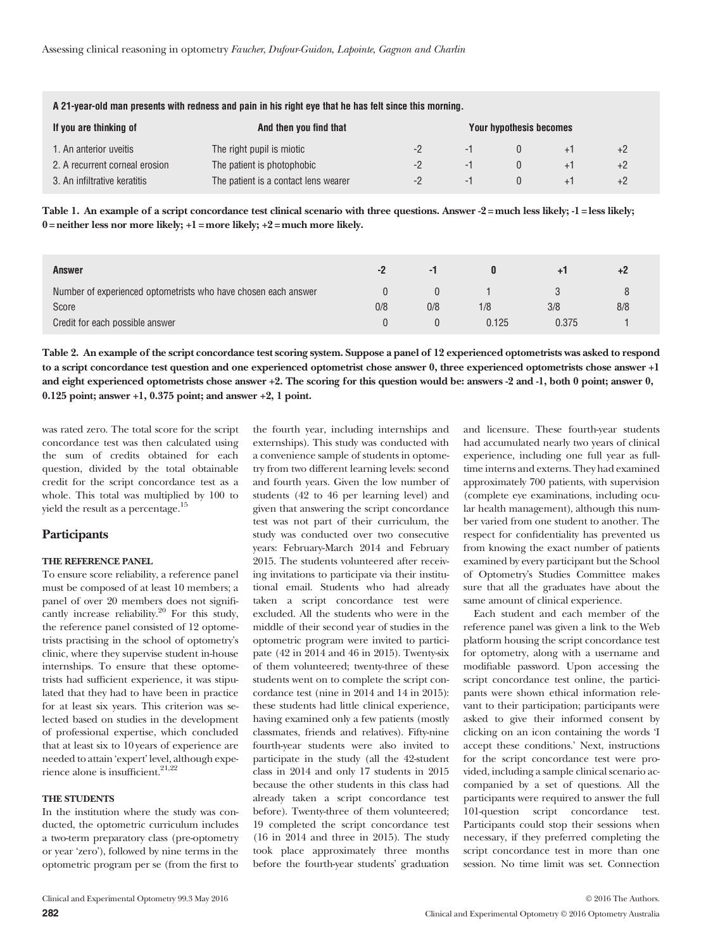| If you are thinking of         | And then you find that               |    |          | Your hypothesis becomes |      |      |  |
|--------------------------------|--------------------------------------|----|----------|-------------------------|------|------|--|
| 1. An anterior uveitis         | The right pupil is miotic            | -2 |          |                         | $+1$ | $+2$ |  |
| 2. A recurrent corneal erosion | The patient is photophobic           | -2 | $\sim$ 1 |                         | +1   | $+2$ |  |
| 3. An infiltrative keratitis   | The patient is a contact lens wearer | -2 | $\sim$ 1 |                         | ÷٦   | $+2$ |  |

A 21-year-old man presents with redness and pain in his right eye that he has felt since this morning.

Table 1. An example of a script concordance test clinical scenario with three questions. Answer -2 = much less likely; -1 = less likely; 0 = neither less nor more likely;  $+1$  = more likely;  $+2$  = much more likely.

| Answer                                                         | -2  | -1  |       |       | $+2$ |
|----------------------------------------------------------------|-----|-----|-------|-------|------|
| Number of experienced optometrists who have chosen each answer |     |     |       |       |      |
| Score                                                          | 0/8 | 0/8 | 1/8   | 3/8   | 8/8  |
| Credit for each possible answer                                |     |     | 0.125 | 0.375 |      |

Table 2. An example of the script concordance test scoring system. Suppose a panel of 12 experienced optometrists was asked to respond to a script concordance test question and one experienced optometrist chose answer 0, three experienced optometrists chose answer +1 and eight experienced optometrists chose answer +2. The scoring for this question would be: answers -2 and -1, both 0 point; answer 0,  $0.125$  point; answer +1,  $0.375$  point; and answer +2, 1 point.

was rated zero. The total score for the script concordance test was then calculated using the sum of credits obtained for each question, divided by the total obtainable credit for the script concordance test as a whole. This total was multiplied by 100 to yield the result as a percentage.<sup>15</sup>

#### **Participants**

#### THE REFERENCE PANEL

To ensure score reliability, a reference panel must be composed of at least 10 members; a panel of over 20 members does not significantly increase reliability.<sup>20</sup> For this study, the reference panel consisted of 12 optometrists practising in the school of optometry's clinic, where they supervise student in-house internships. To ensure that these optometrists had sufficient experience, it was stipulated that they had to have been in practice for at least six years. This criterion was selected based on studies in the development of professional expertise, which concluded that at least six to 10 years of experience are needed to attain 'expert' level, although experience alone is insufficient.<sup>21,22</sup>

#### THE STUDENTS

In the institution where the study was conducted, the optometric curriculum includes a two-term preparatory class (pre-optometry or year 'zero'), followed by nine terms in the optometric program per se (from the first to the fourth year, including internships and externships). This study was conducted with a convenience sample of students in optometry from two different learning levels: second and fourth years. Given the low number of students (42 to 46 per learning level) and given that answering the script concordance test was not part of their curriculum, the study was conducted over two consecutive years: February-March 2014 and February 2015. The students volunteered after receiving invitations to participate via their institutional email. Students who had already taken a script concordance test were excluded. All the students who were in the middle of their second year of studies in the optometric program were invited to participate (42 in 2014 and 46 in 2015). Twenty-six of them volunteered; twenty-three of these students went on to complete the script concordance test (nine in 2014 and 14 in 2015): these students had little clinical experience, having examined only a few patients (mostly classmates, friends and relatives). Fifty-nine fourth-year students were also invited to participate in the study (all the 42-student class in 2014 and only 17 students in 2015 because the other students in this class had already taken a script concordance test before). Twenty-three of them volunteered; 19 completed the script concordance test (16 in 2014 and three in 2015). The study took place approximately three months before the fourth-year students' graduation

and licensure. These fourth-year students had accumulated nearly two years of clinical experience, including one full year as fulltime interns and externs. They had examined approximately 700 patients, with supervision (complete eye examinations, including ocular health management), although this number varied from one student to another. The respect for confidentiality has prevented us from knowing the exact number of patients examined by every participant but the School of Optometry's Studies Committee makes sure that all the graduates have about the same amount of clinical experience.

Each student and each member of the reference panel was given a link to the Web platform housing the script concordance test for optometry, along with a username and modifiable password. Upon accessing the script concordance test online, the participants were shown ethical information relevant to their participation; participants were asked to give their informed consent by clicking on an icon containing the words 'I accept these conditions.' Next, instructions for the script concordance test were provided, including a sample clinical scenario accompanied by a set of questions. All the participants were required to answer the full 101-question script concordance test. Participants could stop their sessions when necessary, if they preferred completing the script concordance test in more than one session. No time limit was set. Connection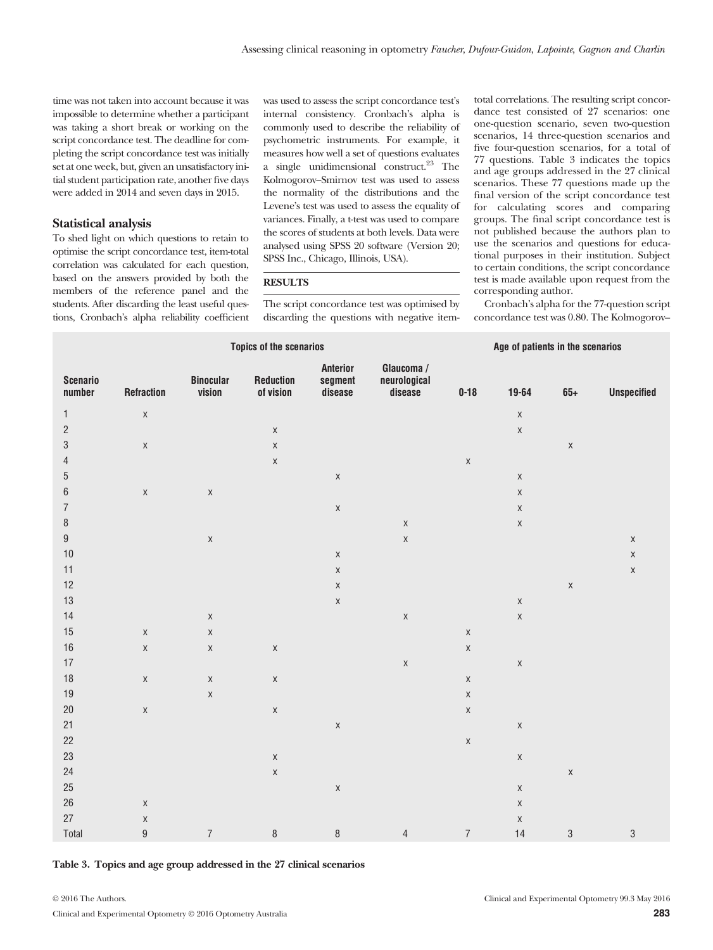time was not taken into account because it was impossible to determine whether a participant was taking a short break or working on the script concordance test. The deadline for completing the script concordance test was initially set at one week, but, given an unsatisfactory initial student participation rate, another five days were added in 2014 and seven days in 2015.

#### Statistical analysis

To shed light on which questions to retain to optimise the script concordance test, item-total correlation was calculated for each question, based on the answers provided by both the members of the reference panel and the students. After discarding the least useful questions, Cronbach's alpha reliability coefficient was used to assess the script concordance test's internal consistency. Cronbach's alpha is commonly used to describe the reliability of psychometric instruments. For example, it measures how well a set of questions evaluates a single unidimensional construct.23 The Kolmogorov–Smirnov test was used to assess the normality of the distributions and the Levene's test was used to assess the equality of variances. Finally, a t-test was used to compare the scores of students at both levels. Data were analysed using SPSS 20 software (Version 20; SPSS Inc., Chicago, Illinois, USA).

#### **RESULTS**

The script concordance test was optimised by discarding the questions with negative item-

total correlations. The resulting script concordance test consisted of 27 scenarios: one one-question scenario, seven two-question scenarios, 14 three-question scenarios and five four-question scenarios, for a total of 77 questions. Table 3 indicates the topics and age groups addressed in the 27 clinical scenarios. These 77 questions made up the final version of the script concordance test for calculating scores and comparing groups. The final script concordance test is not published because the authors plan to use the scenarios and questions for educational purposes in their institution. Subject to certain conditions, the script concordance test is made available upon request from the corresponding author.

Cronbach's alpha for the 77-question script concordance test was 0.80. The Kolmogorov–

|                           | <b>Topics of the scenarios</b> |                            |                        |                                |                                       | Age of patients in the scenarios |             |             |                    |  |
|---------------------------|--------------------------------|----------------------------|------------------------|--------------------------------|---------------------------------------|----------------------------------|-------------|-------------|--------------------|--|
| <b>Scenario</b><br>number | Refraction                     | <b>Binocular</b><br>vision | Reduction<br>of vision | Anterior<br>segment<br>disease | Glaucoma /<br>neurological<br>disease | $0 - 18$                         | 19-64       | $65+$       | <b>Unspecified</b> |  |
| $\mathbf{1}$              | $\mathsf X$                    |                            |                        |                                |                                       |                                  | $\mathsf X$ |             |                    |  |
| $\sqrt{2}$                |                                |                            | $\mathsf X$            |                                |                                       |                                  | $\mathsf X$ |             |                    |  |
| $\sqrt{3}$                | $\mathsf X$                    |                            | $\mathsf X$            |                                |                                       |                                  |             | $\mathsf X$ |                    |  |
| $\overline{4}$            |                                |                            | $\mathsf X$            |                                |                                       | $\mathsf X$                      |             |             |                    |  |
| $\overline{5}$            |                                |                            |                        | $\mathsf X$                    |                                       |                                  | $\mathsf X$ |             |                    |  |
| $\boldsymbol{6}$          | $\mathsf X$                    | $\mathsf X$                |                        |                                |                                       |                                  | $\mathsf X$ |             |                    |  |
| $\overline{7}$            |                                |                            |                        | $\mathsf X$                    |                                       |                                  | $\mathsf X$ |             |                    |  |
| $\, 8$                    |                                |                            |                        |                                | $\mathsf X$                           |                                  | $\mathsf X$ |             |                    |  |
| $\boldsymbol{9}$          |                                | $\mathsf X$                |                        |                                | $\mathsf X$                           |                                  |             |             | $\mathsf X$        |  |
| 10                        |                                |                            |                        | $\mathsf X$                    |                                       |                                  |             |             | $\mathsf X$        |  |
| 11                        |                                |                            |                        | $\mathsf X$                    |                                       |                                  |             |             | $\mathsf X$        |  |
| 12                        |                                |                            |                        | $\mathsf X$                    |                                       |                                  |             | $\mathsf X$ |                    |  |
| $13$                      |                                |                            |                        | $\mathsf X$                    |                                       |                                  | $\mathsf X$ |             |                    |  |
| 14                        |                                | $\mathsf X$                |                        |                                | $\mathsf X$                           |                                  | $\mathsf X$ |             |                    |  |
| 15                        | $\mathsf X$                    | $\mathsf X$                |                        |                                |                                       | $\mathsf X$                      |             |             |                    |  |
| $16$                      | $\mathsf X$                    | $\mathsf X$                | $\mathsf X$            |                                |                                       | $\mathsf X$                      |             |             |                    |  |
| 17                        |                                |                            |                        |                                | $\mathsf X$                           |                                  | $\mathsf X$ |             |                    |  |
| $18$                      | $\mathsf X$                    | $\mathsf X$                | $\mathsf X$            |                                |                                       | $\mathsf X$                      |             |             |                    |  |
| $19$                      |                                | $\mathsf X$                |                        |                                |                                       | $\mathsf X$                      |             |             |                    |  |
| $20\,$                    | $\mathsf X$                    |                            | $\mathsf X$            |                                |                                       | $\mathsf X$                      |             |             |                    |  |
| 21                        |                                |                            |                        | $\mathsf X$                    |                                       |                                  | $\mathsf X$ |             |                    |  |
| 22                        |                                |                            |                        |                                |                                       | $\mathsf X$                      |             |             |                    |  |
| 23                        |                                |                            | $\mathsf X$            |                                |                                       |                                  | $\mathsf X$ |             |                    |  |
| 24                        |                                |                            | $\mathsf X$            |                                |                                       |                                  |             | $\mathsf X$ |                    |  |
| 25                        |                                |                            |                        | $\mathsf X$                    |                                       |                                  | $\mathsf X$ |             |                    |  |
| $26\,$                    | $\mathsf X$                    |                            |                        |                                |                                       |                                  | $\mathsf X$ |             |                    |  |
| 27                        | $\mathsf X$                    |                            |                        |                                |                                       |                                  | $\mathsf X$ |             |                    |  |
| Total                     | $\boldsymbol{9}$               | $\sqrt{7}$                 | $\, 8$                 | $\, 8$                         | $\overline{4}$                        | $\sqrt{7}$                       | 14          | 3           | $\sqrt{3}$         |  |

© 2016 The Authors. Clinical and Experimental Optometry © 2016 Optometry Australia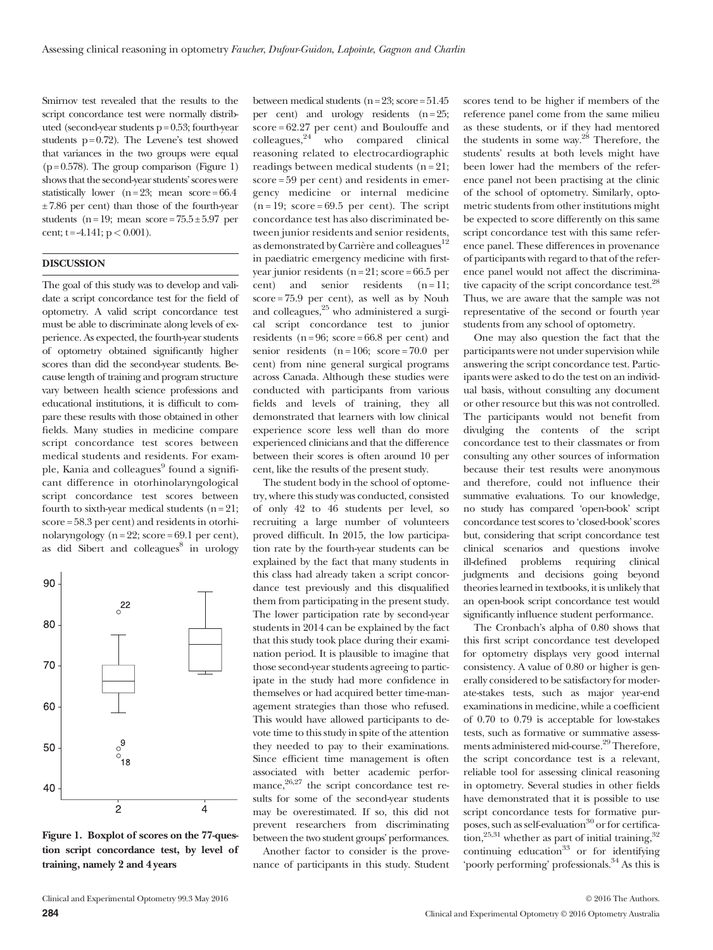Smirnov test revealed that the results to the script concordance test were normally distributed (second-year students  $p = 0.53$ ; fourth-year students  $p = 0.72$ ). The Levene's test showed that variances in the two groups were equal  $(p=0.578)$ . The group comparison (Figure 1) shows that the second-year students'scores were statistically lower  $(n=23;$  mean score = 66.4  $\pm 7.86$  per cent) than those of the fourth-year students (n = 19; mean score =  $75.5 \pm 5.97$  per cent;  $t = -4.141$ ;  $p < 0.001$ ).

#### DISCUSSION

The goal of this study was to develop and validate a script concordance test for the field of optometry. A valid script concordance test must be able to discriminate along levels of experience. As expected, the fourth-year students of optometry obtained significantly higher scores than did the second-year students. Because length of training and program structure vary between health science professions and educational institutions, it is difficult to compare these results with those obtained in other fields. Many studies in medicine compare script concordance test scores between medical students and residents. For example, Kania and colleagues $9$  found a significant difference in otorhinolaryngological script concordance test scores between fourth to sixth-year medical students  $(n=21)$ ; score = 58.3 per cent) and residents in otorhinolaryngology ( $n = 22$ ; score = 69.1 per cent), as did Sibert and colleagues $8$  in urology



Figure 1. Boxplot of scores on the 77-question script concordance test, by level of training, namely 2 and 4 years

between medical students ( $n = 23$ ; score =  $51.45$ per cent) and urology residents  $(n=25;$ score = 62.27 per cent) and Boulouffe and  $\text{colleagues,}^{24}$  who compared clinical reasoning related to electrocardiographic readings between medical students  $(n=21)$ ; score = 59 per cent) and residents in emergency medicine or internal medicine  $(n = 19; score = 69.5 per cent)$ . The script concordance test has also discriminated between junior residents and senior residents, as demonstrated by Carrière and colleagues $^{12}$ in paediatric emergency medicine with firstyear junior residents  $(n = 21; score = 66.5)$ cent) and senior residents  $(n=11)$ ; score = 75.9 per cent), as well as by Nouh and colleagues, $25$  who administered a surgical script concordance test to junior residents  $(n = 96; score = 66.8 \text{ per cent})$  and senior residents  $(n = 106; score = 70.0 per$ cent) from nine general surgical programs across Canada. Although these studies were conducted with participants from various fields and levels of training, they all demonstrated that learners with low clinical experience score less well than do more experienced clinicians and that the difference between their scores is often around 10 per cent, like the results of the present study.

The student body in the school of optometry, where this study was conducted, consisted of only 42 to 46 students per level, so recruiting a large number of volunteers proved difficult. In 2015, the low participation rate by the fourth-year students can be explained by the fact that many students in this class had already taken a script concordance test previously and this disqualified them from participating in the present study. The lower participation rate by second-year students in 2014 can be explained by the fact that this study took place during their examination period. It is plausible to imagine that those second-year students agreeing to participate in the study had more confidence in themselves or had acquired better time-management strategies than those who refused. This would have allowed participants to devote time to this study in spite of the attention they needed to pay to their examinations. Since efficient time management is often associated with better academic performance,  $26,27$  the script concordance test results for some of the second-year students may be overestimated. If so, this did not prevent researchers from discriminating between the two student groups' performances.

Another factor to consider is the provenance of participants in this study. Student scores tend to be higher if members of the reference panel come from the same milieu as these students, or if they had mentored the students in some way. $2^8$  Therefore, the students' results at both levels might have been lower had the members of the reference panel not been practising at the clinic of the school of optometry. Similarly, optometric students from other institutions might be expected to score differently on this same script concordance test with this same reference panel. These differences in provenance of participants with regard to that of the reference panel would not affect the discriminative capacity of the script concordance test.<sup>28</sup> Thus, we are aware that the sample was not representative of the second or fourth year students from any school of optometry.

One may also question the fact that the participants were not under supervision while answering the script concordance test. Participants were asked to do the test on an individual basis, without consulting any document or other resource but this was not controlled. The participants would not benefit from divulging the contents of the script concordance test to their classmates or from consulting any other sources of information because their test results were anonymous and therefore, could not influence their summative evaluations. To our knowledge, no study has compared 'open-book' script concordance test scores to 'closed-book' scores but, considering that script concordance test clinical scenarios and questions involve ill-defined problems requiring clinical judgments and decisions going beyond theories learned in textbooks, it is unlikely that an open-book script concordance test would significantly influence student performance.

The Cronbach's alpha of 0.80 shows that this first script concordance test developed for optometry displays very good internal consistency. A value of 0.80 or higher is generally considered to be satisfactory for moderate-stakes tests, such as major year-end examinations in medicine, while a coefficient of 0.70 to 0.79 is acceptable for low-stakes tests, such as formative or summative assessments administered mid-course.<sup>29</sup> Therefore, the script concordance test is a relevant, reliable tool for assessing clinical reasoning in optometry. Several studies in other fields have demonstrated that it is possible to use script concordance tests for formative purposes, such as self-evaluation $30$  or for certification, $25,31$  whether as part of initial training,  $32$ continuing education $33$  or for identifying 'poorly performing' professionals.34 As this is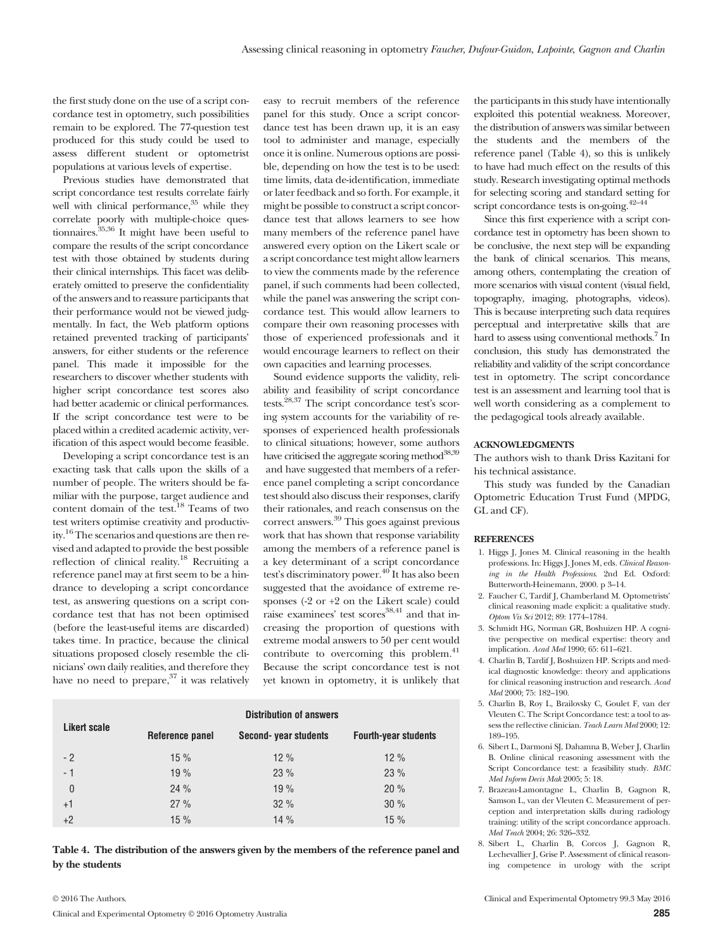the first study done on the use of a script concordance test in optometry, such possibilities remain to be explored. The 77-question test produced for this study could be used to assess different student or optometrist populations at various levels of expertise.

Previous studies have demonstrated that script concordance test results correlate fairly well with clinical performance, $35$  while they correlate poorly with multiple-choice questionnaires.35,36 It might have been useful to compare the results of the script concordance test with those obtained by students during their clinical internships. This facet was deliberately omitted to preserve the confidentiality of the answers and to reassure participants that their performance would not be viewed judgmentally. In fact, the Web platform options retained prevented tracking of participants' answers, for either students or the reference panel. This made it impossible for the researchers to discover whether students with higher script concordance test scores also had better academic or clinical performances. If the script concordance test were to be placed within a credited academic activity, verification of this aspect would become feasible.

Developing a script concordance test is an exacting task that calls upon the skills of a number of people. The writers should be familiar with the purpose, target audience and content domain of the test.18 Teams of two test writers optimise creativity and productivity.<sup>16</sup> The scenarios and questions are then revised and adapted to provide the best possible reflection of clinical reality.18 Recruiting a reference panel may at first seem to be a hindrance to developing a script concordance test, as answering questions on a script concordance test that has not been optimised (before the least-useful items are discarded) takes time. In practice, because the clinical situations proposed closely resemble the clinicians' own daily realities, and therefore they have no need to prepare, $37$  it was relatively easy to recruit members of the reference panel for this study. Once a script concordance test has been drawn up, it is an easy tool to administer and manage, especially once it is online. Numerous options are possible, depending on how the test is to be used: time limits, data de-identification, immediate or later feedback and so forth. For example, it might be possible to construct a script concordance test that allows learners to see how many members of the reference panel have answered every option on the Likert scale or a script concordance test might allow learners to view the comments made by the reference panel, if such comments had been collected, while the panel was answering the script concordance test. This would allow learners to compare their own reasoning processes with those of experienced professionals and it would encourage learners to reflect on their own capacities and learning processes.

Sound evidence supports the validity, reliability and feasibility of script concordance tests.<sup>28,37</sup> The script concordance test's scoring system accounts for the variability of responses of experienced health professionals to clinical situations; however, some authors have criticised the aggregate scoring method<sup>38,39</sup> and have suggested that members of a reference panel completing a script concordance test should also discuss their responses, clarify their rationales, and reach consensus on the correct answers.39 This goes against previous work that has shown that response variability among the members of a reference panel is a key determinant of a script concordance test's discriminatory power.<sup>40</sup> It has also been suggested that the avoidance of extreme responses (-2 or +2 on the Likert scale) could raise examinees' test scores $^{38,41}$  and that increasing the proportion of questions with extreme modal answers to 50 per cent would contribute to overcoming this problem.<sup>41</sup> Because the script concordance test is not yet known in optometry, it is unlikely that

|              | <b>Distribution of answers</b> |                      |                             |  |  |  |
|--------------|--------------------------------|----------------------|-----------------------------|--|--|--|
| Likert scale | Reference panel                | Second-year students | <b>Fourth-year students</b> |  |  |  |
| $-2$         | 15%                            | 12%                  | 12%                         |  |  |  |
| $-1$         | 19%                            | 23%                  | 23%                         |  |  |  |
| $\mathbf{0}$ | 24%                            | 19 %                 | 20%                         |  |  |  |
| $+1$         | 27%                            | 32%                  | 30%                         |  |  |  |
| $+2$         | 15%                            | 14%                  | 15%                         |  |  |  |

Table 4. The distribution of the answers given by the members of the reference panel and by the students

the participants in this study have intentionally exploited this potential weakness. Moreover, the distribution of answers was similar between the students and the members of the reference panel (Table 4), so this is unlikely to have had much effect on the results of this study. Research investigating optimal methods for selecting scoring and standard setting for script concordance tests is on-going.<sup>42–44</sup>

Since this first experience with a script concordance test in optometry has been shown to be conclusive, the next step will be expanding the bank of clinical scenarios. This means, among others, contemplating the creation of more scenarios with visual content (visual field, topography, imaging, photographs, videos). This is because interpreting such data requires perceptual and interpretative skills that are hard to assess using conventional methods.<sup>7</sup> In conclusion, this study has demonstrated the reliability and validity of the script concordance test in optometry. The script concordance test is an assessment and learning tool that is well worth considering as a complement to the pedagogical tools already available.

#### ACKNOWLEDGMENTS

The authors wish to thank Driss Kazitani for his technical assistance.

This study was funded by the Canadian Optometric Education Trust Fund (MPDG, GL and CF).

#### **REFERENCES**

- 1. Higgs J, Jones M. Clinical reasoning in the health professions. In: Higgs J, Jones M, eds. Clinical Reasoning in the Health Professions. 2nd Ed. Oxford: Butterworth-Heinemann, 2000. p 3–14.
- 2. Faucher C, Tardif J, Chamberland M. Optometrists' clinical reasoning made explicit: a qualitative study. Optom Vis Sci 2012; 89: 1774–1784.
- 3. Schmidt HG, Norman GR, Boshuizen HP. A cognitive perspective on medical expertise: theory and implication. Acad Med 1990; 65: 611–621.
- 4. Charlin B, Tardif J, Boshuizen HP. Scripts and medical diagnostic knowledge: theory and applications for clinical reasoning instruction and research. Acad Med 2000; 75: 182–190.
- 5. Charlin B, Roy L, Brailovsky C, Goulet F, van der Vleuten C. The Script Concordance test: a tool to assess the reflective clinician. Teach Learn Med 2000; 12: 189–195.
- 6. Sibert L, Darmoni SJ, Dahamna B, Weber J, Charlin B. Online clinical reasoning assessment with the Script Concordance test: a feasibility study. BMC Med Inform Decis Mak 2005; 5: 18.
- 7. Brazeau-Lamontagne L, Charlin B, Gagnon R, Samson L, van der Vleuten C. Measurement of perception and interpretation skills during radiology training: utility of the script concordance approach. Med Teach 2004; 26: 326–332.
- 8. Sibert L, Charlin B, Corcos J, Gagnon R, Lechevallier J, Grise P. Assessment of clinical reasoning competence in urology with the script